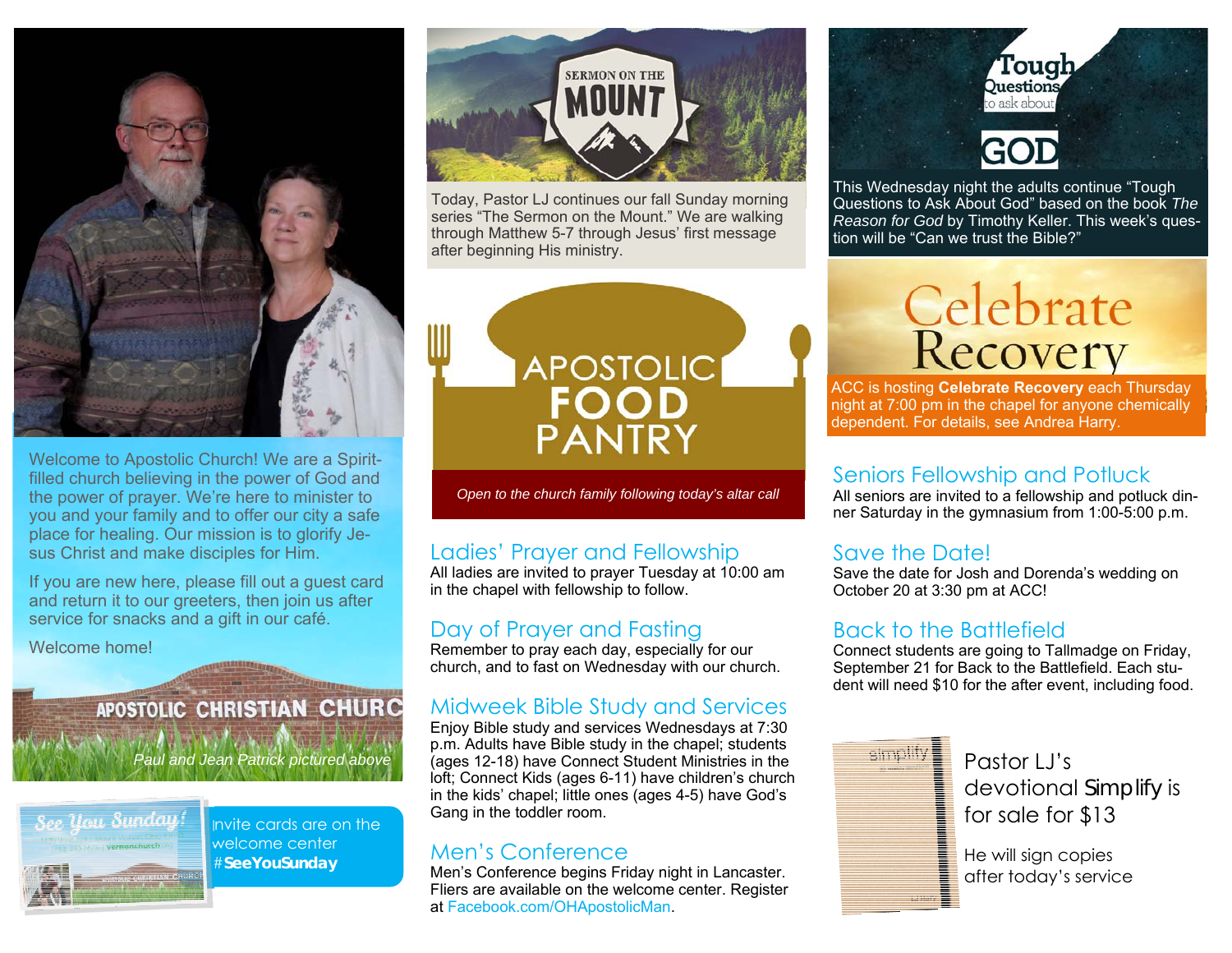

Welcome to Apostolic Church! We are a Spiritfilled church believing in the power of God and the power of prayer. We're here to minister to you and your family and to offer our city a safe place for healing. Our mission is to glorify Jesus Christ and make disciples for Him.

If you are new here, please fill out a guest card and return it to our greeters, then join us after service for snacks and a gift in our café.

Welcome home!

#### **APOSTOLIC CHRISTIAN CHURC**

*Paul and Jean Patrick pictured above* 



Invite cards are on the welcome center #**SeeYouSunday** 



Today, Pastor LJ continues our fall Sunday morning series "The Sermon on the Mount." We are walking through Matthew 5-7 through Jesus' first message after beginning His ministry.



*Open to the church family following today's altar call* 

#### Ladies' Prayer and Fellowship

All ladies are invited to prayer Tuesday at 10:00 am in the chapel with fellowship to follow.

#### Day of Prayer and Fasting

Remember to pray each day, especially for our church, and to fast on Wednesday with our church.

#### Midweek Bible Study and Services

Enjoy Bible study and services Wednesdays at 7:30 p.m. Adults have Bible study in the chapel; students (ages 12-18) have Connect Student Ministries in the loft; Connect Kids (ages 6-11) have children's church in the kids' chapel; little ones (ages 4-5) have God's Gang in the toddler room.

#### Men's Conference

Men's Conference begins Friday night in Lancaster. Fliers are available on the welcome center. Register at Facebook.com/OHApostolicMan.



This Wednesday night the adults continue "Tough Questions to Ask About God" based on the book *The Reason for God* by Timothy Keller. This week's question will be "Can we trust the Bible?"

# Celebrate<br>Recovery

ACC is hosting **Celebrate Recovery** each Thursday night at 7:00 pm in the chapel for anyone chemically dependent. For details, see Andrea Harry.

#### Seniors Fellowship and Potluck

All seniors are invited to a fellowship and potluck dinner Saturday in the gymnasium from 1:00-5:00 p.m.

#### Save the Date!

Save the date for Josh and Dorenda's wedding on October 20 at 3:30 pm at ACC!

#### Back to the Battlefield

Connect students are going to Tallmadge on Friday, September 21 for Back to the Battlefield. Each student will need \$10 for the after event, including food.



Pastor LJ's devotional *Simplify* is for sale for \$13

He will sign copies after today's service